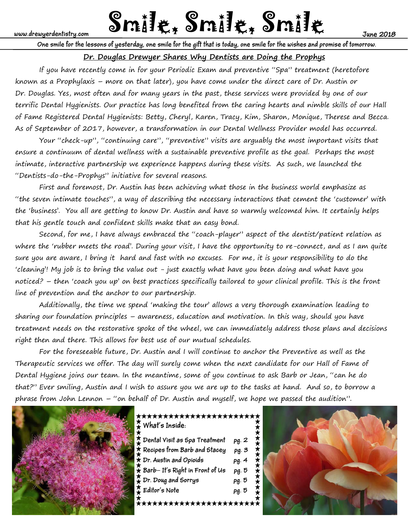# www.drewyerdentistry.com **Smille, Smille Mately Smille**

**One smile for the lessons of yesterday, one smile for the gift that is today, one smile for the wishes and promise of tomorrow.**

# **Dr. Douglas Drewyer Shares Why Dentists are Doing the Prophys**

 If you have recently come in for your Periodic Exam and preventive "Spa" treatment (heretofore known as a Prophylaxis – more on that later), you have come under the direct care of Dr. Austin or Dr. Douglas. Yes, most often and for many years in the past, these services were provided by one of our terrific Dental Hygienists. Our practice has long benefited from the caring hearts and nimble skills of our Hall of Fame Registered Dental Hygienists: Betty, Cheryl, Karen, Tracy, Kim, Sharon, Monique, Therese and Becca. As of September of 2017, however, a transformation in our Dental Wellness Provider model has occurred.

 Your "check-up", "continuing care", "preventive" visits are arguably the most important visits that ensure a continuum of dental wellness with a sustainable preventive profile as the goal. Perhaps the most intimate, interactive partnership we experience happens during these visits. As such, we launched the "Dentists-do-the-Prophys" initiative for several reasons.

 First and foremost, Dr. Austin has been achieving what those in the business world emphasize as "the seven intimate touches", a way of describing the necessary interactions that cement the 'customer' with the 'business'. You all are getting to know Dr. Austin and have so warmly welcomed him. It certainly helps that his gentle touch and confident skills make that an easy bond.

 Second, for me, I have always embraced the "coach-player" aspect of the dentist/patient relation as where the 'rubber meets the road'. During your visit, I have the opportunity to re-connect, and as I am quite sure you are aware, I bring it hard and fast with no excuses. For me, it is your responsibility to do the 'cleaning'! My job is to bring the value out - just exactly what have you been doing and what have you noticed? – then 'coach you up' on best practices specifically tailored to your clinical profile. This is the front line of prevention and the anchor to our partnership.

 Additionally, the time we spend 'making the tour' allows a very thorough examination leading to sharing our foundation principles – awareness, education and motivation. In this way, should you have treatment needs on the restorative spoke of the wheel, we can immediately address those plans and decisions right then and there. This allows for best use of our mutual schedules.

 For the foreseeable future, Dr. Austin and I will continue to anchor the Preventive as well as the Therapeutic services we offer. The day will surely come when the next candidate for our Hall of Fame of Dental Hygiene joins our team. In the meantime, some of you continue to ask Barb or Jean, "can he do that?" Ever smiling, Austin and I wish to assure you we are up to the tasks at hand. And so, to borrow a phrase from John Lennon – "on behalf of Dr. Austin and myself, we hope we passed the audition".



# \*\*\*\*\*\*\*\*\*\*\*\*\*\*\*\*\*\*\*\*\*\*\*\* **What's Inside:**

| Dental Visit as Spa Treatment  | pg. 2 |
|--------------------------------|-------|
| Recipes from Barb and Stacey   | pg. 3 |
| Dr. Austin and Opioids         | pg. 4 |
| Barb-It's Right in Front of Us | pg. 5 |
| Dr. Doug and Sorrys            | pg. 5 |
| . Editor's Note                | pg. 5 |
| ****************               |       |

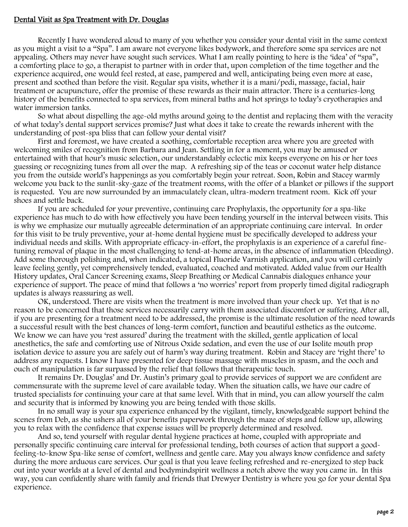#### Dental Visit as Spa Treatment with Dr. Douglas

 Recently I have wondered aloud to many of you whether you consider your dental visit in the same context as you might a visit to a "Spa". I am aware not everyone likes bodywork, and therefore some spa services are not appealing. Others may never have sought such services. What I am really pointing to here is the 'idea' of "spa", a comforting place to go, a therapist to partner with in order that, upon completion of the time together and the experience acquired, one would feel rested, at ease, pampered and well, anticipating being even more at ease, present and soothed than before the visit. Regular spa visits, whether it is a mani/pedi, massage, facial, hair treatment or acupuncture, offer the promise of these rewards as their main attractor. There is a centuries-long history of the benefits connected to spa services, from mineral baths and hot springs to today's cryotherapies and water immersion tanks.

 So what about dispelling the age-old myths around going to the dentist and replacing them with the veracity of what today's dental support services promise? Just what does it take to create the rewards inherent with the understanding of post-spa bliss that can follow your dental visit?

 First and foremost, we have created a soothing, comfortable reception area where you are greeted with welcoming smiles of recognition from Barbara and Jean. Settling in for a moment, you may be amused or entertained with that hour's music selection, our understandably eclectic mix keeps everyone on his or her toes guessing or recognizing tunes from all over the map. A refreshing sip of the teas or coconut water help distance you from the outside world's happenings as you comfortably begin your retreat. Soon, Robin and Stacey warmly welcome you back to the sunlit-sky-gaze of the treatment rooms, with the offer of a blanket or pillows if the support is requested. You are now surrounded by an immaculately clean, ultra-modern treatment room. Kick off your shoes and settle back.

 If you are scheduled for your preventive, continuing care Prophylaxis, the opportunity for a spa-like experience has much to do with how effectively you have been tending yourself in the interval between visits. This is why we emphasize our mutually agreeable determination of an appropriate continuing care interval. In order for this visit to be truly preventive, your at-home dental hygiene must be specifically developed to address your individual needs and skills. With appropriate efficacy-in-effort, the prophylaxis is an experience of a careful finetuning removal of plaque in the most challenging to tend-at-home areas, in the absence of inflammation (bleeding). Add some thorough polishing and, when indicated, a topical Fluoride Varnish application, and you will certainly leave feeling gently, yet comprehensively tended, evaluated, coached and motivated. Added value from our Health History updates, Oral Cancer Screening exams, Sleep Breathing or Medical Cannabis dialogues enhance your experience of support. The peace of mind that follows a 'no worries' report from properly timed digital radiograph updates is always reassuring as well.

 OK, understood. There are visits when the treatment is more involved than your check up. Yet that is no reason to be concerned that those services necessarily carry with them associated discomfort or suffering. After all, if you are presenting for a treatment need to be addressed, the promise is the ultimate resolution of the need towards a successful result with the best chances of long-term comfort, function and beautiful esthetics as the outcome. We know we can have you 'rest assured' during the treatment with the skilled, gentle application of local anesthetics, the safe and comforting use of Nitrous Oxide sedation, and even the use of our Isolite mouth prop isolation device to assure you are safely out of harm's way during treatment. Robin and Stacey are 'right there' to address any requests. I know I have presented for deep tissue massage with muscles in spasm, and the ooch and ouch of manipulation is far surpassed by the relief that follows that therapeutic touch.

 It remains Dr. Douglas' and Dr. Austin's primary goal to provide services of support we are confident are commensurate with the supreme level of care available today. When the situation calls, we have our cadre of trusted specialists for continuing your care at that same level. With that in mind, you can allow yourself the calm and security that is informed by knowing you are being tended with those skills.

 In no small way is your spa experience enhanced by the vigilant, timely, knowledgeable support behind the scenes from Deb, as she ushers all of your benefits paperwork through the maze of steps and follow up, allowing you to relax with the confidence that expense issues will be properly determined and resolved.

 And so, tend yourself with regular dental hygiene practices at home, coupled with appropriate and personally specific continuing care interval for professional tending, both courses of action that support a goodfeeling-to-know Spa-like sense of comfort, wellness and gentle care. May you always know confidence and safety during the more arduous care services. Our goal is that you leave feeling refreshed and re-energized to step back out into your worlds at a level of dental and bodymindspirit wellness a notch above the way you came in. In this way, you can confidently share with family and friends that Drewyer Dentistry is where you go for your dental Spa experience.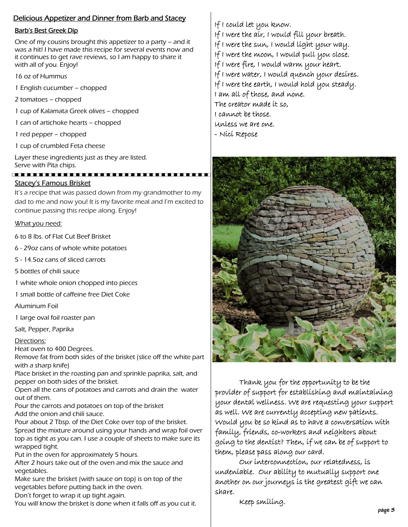## Delicious Appetizer and Dinner from Barb and Stacey

#### Barb's Best Greek Dip

One of my cousins brought this appetizer to a party – and it was a hit! I have made this recipe for several events now and it continues to get rave reviews, so I am happy to share it with all of you. Enjoy!

- 16 oz of Hummus
- 1 English cucumber chopped
- 2 tomatoes chopped
- 1 cup of Kalamata Greek olives chopped
- 1 can of artichoke hearts chopped
- 1 red pepper chopped
- 1 cup of crumbled Feta cheese

Layer these ingredients just as they are listed. Serve with Pita chips.

#### . . . . . . . . . . . . . . . . Stacey's Famous Brisket

It's a recipe that was passed down from my grandmother to my dad to me and now you! It is my favorite meal and I'm excited to continue passing this recipe along. Enjoy!

#### What you need:

6 to 8 lbs. of Flat Cut Beef Brisket

- 6 29oz cans of whole white potatoes
- 5 14.5oz cans of sliced carrots
- 5 bottles of chili sauce
- 1 white whole onion chopped into pieces
- 1 small bottle of caffeine free Diet Coke

Aluminum Foil

1 large oval foil roaster pan

Salt, Pepper, Paprika

#### Directions:

Heat oven to 400 Degrees.

Remove fat from both sides of the brisket (slice off the white part with a sharp knife)

Place brisket in the roasting pan and sprinkle paprika, salt, and pepper on both sides of the brisket.

Open all the cans of potatoes and carrots and drain the water out of them.

Pour the carrots and potatoes on top of the brisket Add the onion and chili sauce.

Pour about 2 Tbsp. of the Diet Coke over top of the brisket. Spread the mixture around using your hands and wrap foil over top as tight as you can. I use a couple of sheets to make sure its wrapped tight.

Put in the oven for approximately 5 hours.

After 2 hours take out of the oven and mix the sauce and vegetables.

Make sure the brisket (with sauce on top) is on top of the vegetables before putting back in the oven.

Don't forget to wrap it up tight again.

You will know the brisket is done when it falls off as you cut it.

If I could let you know.

- If I were the air, I would fill your breath.
- If I were the sun, I would light your way.
- If I were the moon, I would pull you close.
- If I were fire, I would warm your heart.
- If I were water, I would quench your desires.
- If I were the earth, I would hold you steady.
- I am all of those, and none.
- The creator made it so,
- I cannot be those.
- Unless we are one.
- Nici Repose



Thank you for the opportunity to be the provider of support for establishing and maintaining your dental wellness. We are requesting your support as well. We are currently accepting new patients. Would you be so kind as to have a conversation with family, friends, co-workers and neighbors about going to the dentist? Then, if we can be of support to them, please pass along our card.

 Our interconnection, our relatedness, is undeniable. Our ability to mutually support one another on our journeys is the greatest gift we can share.

Keep smiling.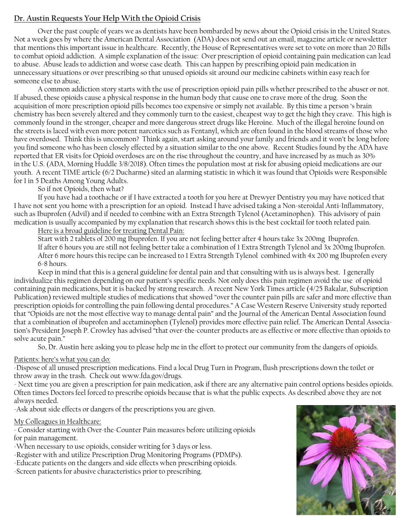# **Dr. Austin Requests Your Help With the Opioid Crisis**

Over the past couple of years we as dentists have been bombarded by news about the Opioid crisis in the United States. Not a week goes by where the American Dental Association (ADA) does not send out an email, magazine article or newsletter that mentions this important issue in healthcare. Recently, the House of Representatives were set to vote on more than 20 Bills to combat opioid addiction. A simple explanation of the issue: Over prescription of opioid containing pain medication can lead to abuse. Abuse leads to addiction and worse case death. This can happen by prescribing opioid pain medication in unnecessary situations or over prescribing so that unused opioids sit around our medicine cabinets within easy reach for someone else to abuse.

 A common addiction story starts with the use of prescription opioid pain pills whether prescribed to the abuser or not. If abused, these opioids cause a physical response in the human body that cause one to crave more of the drug. Soon the acquisition of more prescription opioid pills becomes too expensive or simply not available. By this time a person 's brain chemistry has been severely altered and they commonly turn to the easiest, cheapest way to get the high they crave. This high is commonly found in the stronger, cheaper and more dangerous street drugs like Heroine. Much of the illegal heroine found on the streets is laced with even more potent narcotics such as Fentanyl, which are often found in the blood streams of those who have overdosed. Think this is uncommon? Think again, start asking around your family and friends and it won't be long before you find someone who has been closely effected by a situation similar to the one above. Recent Studies found by the ADA have reported that ER visits for Opioid overdoses are on the rise throughout the country, and have increased by as much as 30% in the U.S. (ADA, Morning Huddle 3/8/2018). Often times the population most at risk for abusing opioid medications are our youth. A recent TIME article (6/2 Ducharme) sited an alarming statistic in which it was found that Opioids were Responsible for 1 in 5 Deaths Among Young Adults.

### So if not Opioids, then what?

 If you have had a toothache or if I have extracted a tooth for you here at Drewyer Dentistry you may have noticed that I have not sent you home with a prescription for an opioid. Instead I have advised taking a Non-steroidal Anti-Inflammatory, such as Ibuprofen (Advil) and if needed to combine with an Extra Strength Tylenol (Acetaminophen). This advisory of pain medication is usually accompanied by my explanation that research shows this is the best cocktail for tooth related pain.

#### Here is a broad guideline for treating Dental Pain:

 Start with 2 tablets of 200 mg Ibuprofen. If you are not feeling better after 4 hours take 3x 200mg Ibuprofen. If after 6 hours you are still not feeling better take a combination of 1 Extra Strength Tylenol and 3x 200mg Ibuprofen. After 6 more hours this recipe can be increased to 1 Extra Strength Tylenol combined with 4x 200 mg Ibuprofen every 6-8 hours.

 Keep in mind that this is a general guideline for dental pain and that consulting with us is always best. I generally individualize this regimen depending on our patient's specific needs. Not only does this pain regimen avoid the use of opioid containing pain medications, but it is backed by strong research. A recent New York Times article (4/25 Bakalar, Subscription Publication) reviewed multiple studies of medications that showed "over the counter pain pills are safer and more effective than prescription opioids for controlling the pain following dental procedures." A Case Western Reserve University study reported that "Opioids are not the most effective way to manage dental pain" and the Journal of the American Dental Association found that a combination of ibuprofen and acetaminophen (Tylenol) provides more effective pain relief. The American Dental Association's President Joseph P. Crowley has advised "that over-the-counter products are as effective or more effective than opioids to solve acute pain."

So, Dr. Austin here asking you to please help me in the effort to protect our community from the dangers of opioids.

#### Patients: here's what you can do:

-Dispose of all unused prescription medications. Find a local Drug Turn in Program, flush prescriptions down the toilet or throw away in the trash. Check out www.fda.gov/drugs.

- Next time you are given a prescription for pain medication, ask if there are any alternative pain control options besides opioids. Often times Doctors feel forced to prescribe opioids because that is what the public expects. As described above they are not always needed.

-Ask about side effects or dangers of the prescriptions you are given.

#### My Colleagues in Healthcare:

- Consider starting with Over-the-Counter Pain measures before utilizing opioids for pain management.

-When necessary to use opioids, consider writing for 3 days or less.

- -Register with and utilize Prescription Drug Monitoring Programs (PDMPs).
- -Educate patients on the dangers and side effects when prescribing opioids.

-Screen patients for abusive characteristics prior to prescribing.